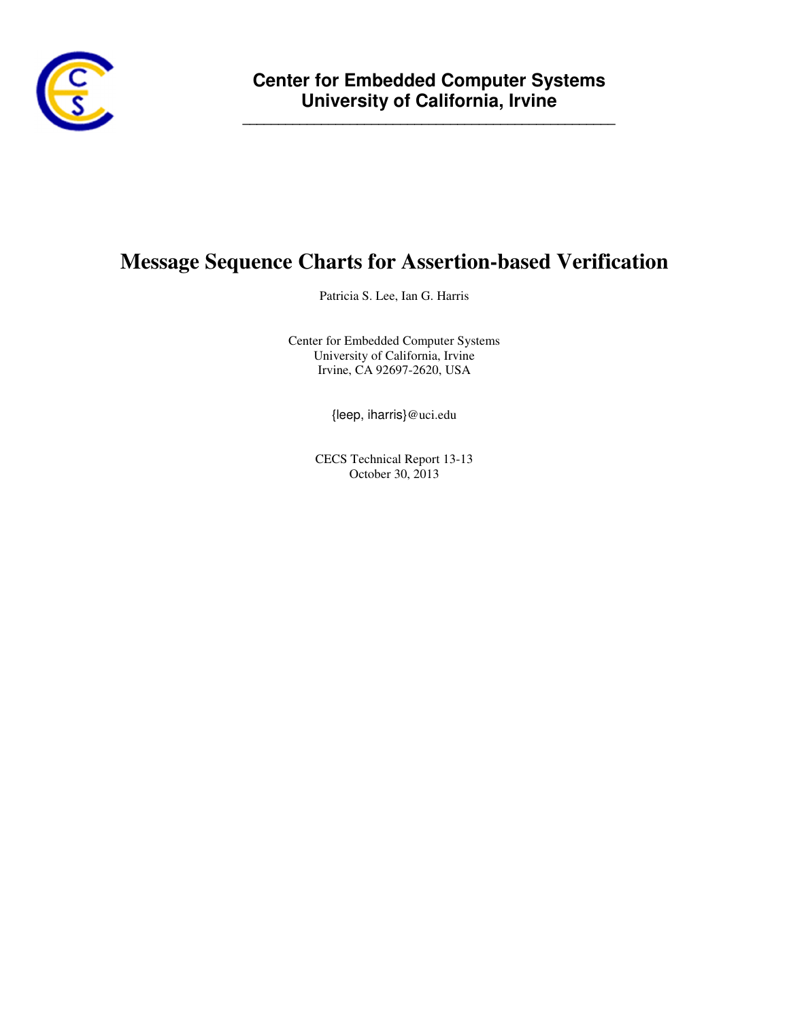

**\_\_\_\_\_\_\_\_\_\_\_\_\_\_\_\_\_\_\_\_\_\_\_\_\_\_\_\_\_\_\_\_\_\_\_\_\_\_\_\_\_\_\_\_\_\_\_\_\_\_\_\_**

# **Message Sequence Charts for Assertion-based Verification**

Patricia S. Lee, Ian G. Harris

Center for Embedded Computer Systems University of California, Irvine Irvine, CA 92697-2620, USA

{leep, iharris}@uci.edu

CECS Technical Report 13-13 October 30, 2013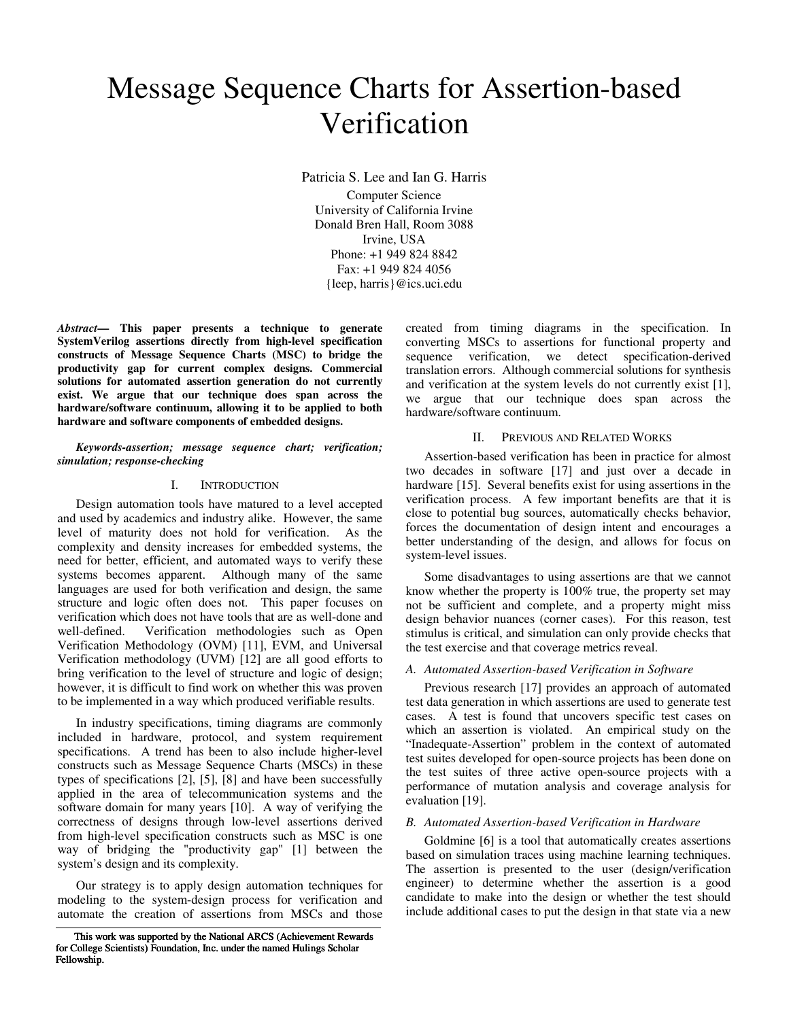# Message Sequence Charts for Assertion-based Verification

Patricia S. Lee and Ian G. Harris Computer Science University of California Irvine Donald Bren Hall, Room 3088 Irvine, USA Phone: +1 949 824 8842 Fax: +1 949 824 4056 {leep, harris}@ics.uci.edu

*Abstract***— This paper presents a technique to generate SystemVerilog assertions directly from high-level specification constructs of Message Sequence Charts (MSC) to bridge the productivity gap for current complex designs. Commercial solutions for automated assertion generation do not currently exist. We argue that our technique does span across the hardware/software continuum, allowing it to be applied to both hardware and software components of embedded designs.** 

#### *Keywords-assertion; message sequence chart; verification; simulation; response-checking*

#### I. INTRODUCTION

Design automation tools have matured to a level accepted and used by academics and industry alike. However, the same level of maturity does not hold for verification. As the complexity and density increases for embedded systems, the need for better, efficient, and automated ways to verify these systems becomes apparent. Although many of the same languages are used for both verification and design, the same structure and logic often does not. This paper focuses on verification which does not have tools that are as well-done and well-defined. Verification methodologies such as Open Verification Methodology (OVM) [11], EVM, and Universal Verification methodology (UVM) [12] are all good efforts to bring verification to the level of structure and logic of design; however, it is difficult to find work on whether this was proven to be implemented in a way which produced verifiable results.

In industry specifications, timing diagrams are commonly included in hardware, protocol, and system requirement specifications. A trend has been to also include higher-level constructs such as Message Sequence Charts (MSCs) in these types of specifications [2], [5], [8] and have been successfully applied in the area of telecommunication systems and the software domain for many years [10]. A way of verifying the correctness of designs through low-level assertions derived from high-level specification constructs such as MSC is one way of bridging the "productivity gap" [1] between the system's design and its complexity.

Our strategy is to apply design automation techniques for modeling to the system-design process for verification and automate the creation of assertions from MSCs and those created from timing diagrams in the specification. In converting MSCs to assertions for functional property and sequence verification, we detect specification-derived translation errors. Although commercial solutions for synthesis and verification at the system levels do not currently exist [1], we argue that our technique does span across the hardware/software continuum.

## II. PREVIOUS AND RELATED WORKS

Assertion-based verification has been in practice for almost two decades in software [17] and just over a decade in hardware [15]. Several benefits exist for using assertions in the verification process. A few important benefits are that it is close to potential bug sources, automatically checks behavior, forces the documentation of design intent and encourages a better understanding of the design, and allows for focus on system-level issues.

Some disadvantages to using assertions are that we cannot know whether the property is 100% true, the property set may not be sufficient and complete, and a property might miss design behavior nuances (corner cases). For this reason, test stimulus is critical, and simulation can only provide checks that the test exercise and that coverage metrics reveal.

#### *A. Automated Assertion-based Verification in Software*

Previous research [17] provides an approach of automated test data generation in which assertions are used to generate test cases. A test is found that uncovers specific test cases on which an assertion is violated. An empirical study on the "Inadequate-Assertion" problem in the context of automated test suites developed for open-source projects has been done on the test suites of three active open-source projects with a performance of mutation analysis and coverage analysis for evaluation [19].

#### *B. Automated Assertion-based Verification in Hardware*

Goldmine [6] is a tool that automatically creates assertions based on simulation traces using machine learning techniques. The assertion is presented to the user (design/verification engineer) to determine whether the assertion is a good candidate to make into the design or whether the test should include additional cases to put the design in that state via a new

This work was supported by the National ARCS (Achievement Rewards for College Scientists) Foundation, Inc. under the named Hulings Scholar Fellowship.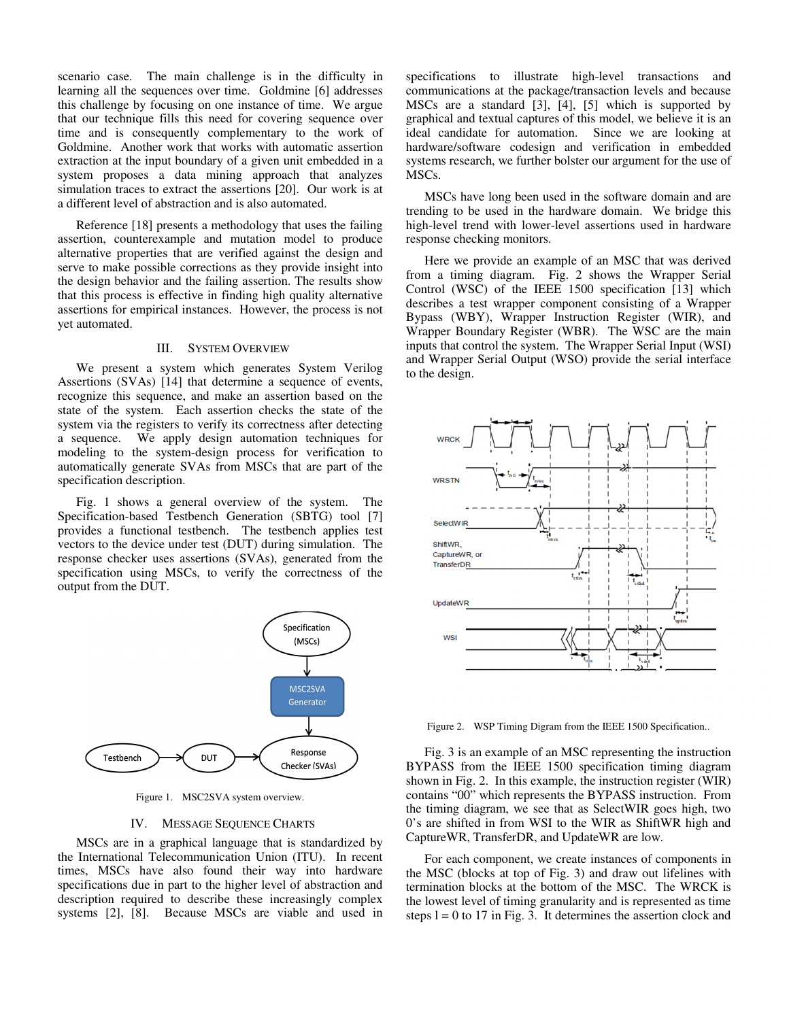scenario case. The main challenge is in the difficulty in learning all the sequences over time. Goldmine [6] addresses this challenge by focusing on one instance of time. We argue that our technique fills this need for covering sequence over time and is consequently complementary to the work of Goldmine. Another work that works with automatic assertion extraction at the input boundary of a given unit embedded in a system proposes a data mining approach that analyzes simulation traces to extract the assertions [20]. Our work is at a different level of abstraction and is also automated.

Reference [18] presents a methodology that uses the failing assertion, counterexample and mutation model to produce alternative properties that are verified against the design and serve to make possible corrections as they provide insight into the design behavior and the failing assertion. The results show that this process is effective in finding high quality alternative assertions for empirical instances. However, the process is not yet automated.

# III. SYSTEM OVERVIEW

We present a system which generates System Verilog Assertions (SVAs) [14] that determine a sequence of events, recognize this sequence, and make an assertion based on the state of the system. Each assertion checks the state of the system via the registers to verify its correctness after detecting a sequence. We apply design automation techniques for modeling to the system-design process for verification to automatically generate SVAs from MSCs that are part of the specification description.

Fig. 1 shows a general overview of the system. The Specification-based Testbench Generation (SBTG) tool [7] provides a functional testbench. The testbench applies test vectors to the device under test (DUT) during simulation. The response checker uses assertions (SVAs), generated from the specification using MSCs, to verify the correctness of the output from the DUT.



Figure 1. MSC2SVA system overview.

#### IV. MESSAGE SEQUENCE CHARTS

MSCs are in a graphical language that is standardized by the International Telecommunication Union (ITU). In recent times, MSCs have also found their way into hardware specifications due in part to the higher level of abstraction and description required to describe these increasingly complex systems [2], [8]. Because MSCs are viable and used in

specifications to illustrate high-level transactions and communications at the package/transaction levels and because MSCs are a standard [3], [4], [5] which is supported by graphical and textual captures of this model, we believe it is an ideal candidate for automation. Since we are looking at hardware/software codesign and verification in embedded systems research, we further bolster our argument for the use of MSCs.

MSCs have long been used in the software domain and are trending to be used in the hardware domain. We bridge this high-level trend with lower-level assertions used in hardware response checking monitors.

Here we provide an example of an MSC that was derived from a timing diagram. Fig. 2 shows the Wrapper Serial Control (WSC) of the IEEE 1500 specification [13] which describes a test wrapper component consisting of a Wrapper Bypass (WBY), Wrapper Instruction Register (WIR), and Wrapper Boundary Register (WBR). The WSC are the main inputs that control the system. The Wrapper Serial Input (WSI) and Wrapper Serial Output (WSO) provide the serial interface to the design.



Figure 2. WSP Timing Digram from the IEEE 1500 Specification..

Fig. 3 is an example of an MSC representing the instruction BYPASS from the IEEE 1500 specification timing diagram shown in Fig. 2. In this example, the instruction register (WIR) contains "00" which represents the BYPASS instruction. From the timing diagram, we see that as SelectWIR goes high, two 0's are shifted in from WSI to the WIR as ShiftWR high and CaptureWR, TransferDR, and UpdateWR are low.

For each component, we create instances of components in the MSC (blocks at top of Fig. 3) and draw out lifelines with termination blocks at the bottom of the MSC. The WRCK is the lowest level of timing granularity and is represented as time steps  $l = 0$  to 17 in Fig. 3. It determines the assertion clock and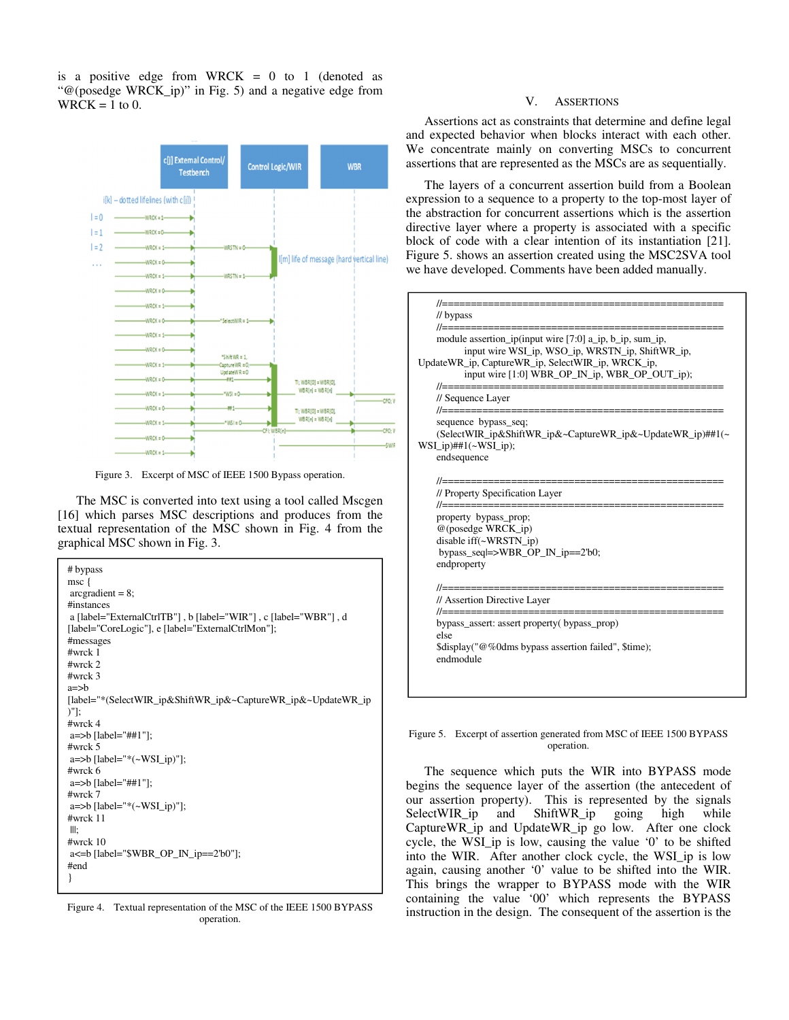is a positive edge from WRCK  $= 0$  to 1 (denoted as "@(posedge WRCK\_ip)" in Fig. 5) and a negative edge from  $WRCK = 1$  to 0.



Figure 3. Excerpt of MSC of IEEE 1500 Bypass operation.

The MSC is converted into text using a tool called Mscgen [16] which parses MSC descriptions and produces from the textual representation of the MSC shown in Fig. 4 from the graphical MSC shown in Fig. 3.

| # bypass                                                        |
|-----------------------------------------------------------------|
| msc {                                                           |
| $\arcsin 8$ ;                                                   |
| #instances                                                      |
| a [label="ExternalCtrlTB"], b [label="WIR"], c [label="WBR"], d |
| [label="CoreLogic"], e [label="ExternalCtrlMon"];               |
| #messages                                                       |
| $#$ wrc $k$ 1                                                   |
| $#$ wrck 2                                                      |
| $#$ wrck 3                                                      |
| $a = >b$                                                        |
| [label="*(SelectWIR_ip&ShiftWR_ip&~CaptureWR_ip&~UpdateWR_ip    |
| $)$ "]:                                                         |
| $\#$ wrck 4                                                     |
| $a = >b$ [label="##1"];                                         |
| $#$ wrck 5                                                      |
| $a = >b$ [label="* $(\sim WSI$ _ip)"];<br>$#$ wrck 6            |
|                                                                 |
| a=>b [label="##1"];<br>$#$ wrck 7                               |
| $a = >b$ [label="* $(\sim WSI$ _ip)"];                          |
| $#$ wrc $k$ 11                                                  |
| III:                                                            |
| $\#$ wrck 10                                                    |
| $a \le b$ [label="\\$WBR_OP_IN_ip==2'b0"];                      |
| #end                                                            |
| ł                                                               |
|                                                                 |

Figure 4. Textual representation of the MSC of the IEEE 1500 BYPASS operation.

#### V. ASSERTIONS

Assertions act as constraints that determine and define legal and expected behavior when blocks interact with each other. We concentrate mainly on converting MSCs to concurrent assertions that are represented as the MSCs are as sequentially.

The layers of a concurrent assertion build from a Boolean expression to a sequence to a property to the top-most layer of the abstraction for concurrent assertions which is the assertion directive layer where a property is associated with a specific block of code with a clear intention of its instantiation [21]. Figure 5. shows an assertion created using the MSC2SVA tool we have developed. Comments have been added manually.



#### Figure 5. Excerpt of assertion generated from MSC of IEEE 1500 BYPASS operation.

The sequence which puts the WIR into BYPASS mode begins the sequence layer of the assertion (the antecedent of our assertion property). This is represented by the signals SelectWIR\_ip and ShiftWR\_ip going high while CaptureWR\_ip and UpdateWR\_ip go low. After one clock cycle, the WSI\_ip is low, causing the value '0' to be shifted into the WIR. After another clock cycle, the WSI\_ip is low again, causing another '0' value to be shifted into the WIR. This brings the wrapper to BYPASS mode with the WIR containing the value '00' which represents the BYPASS instruction in the design. The consequent of the assertion is the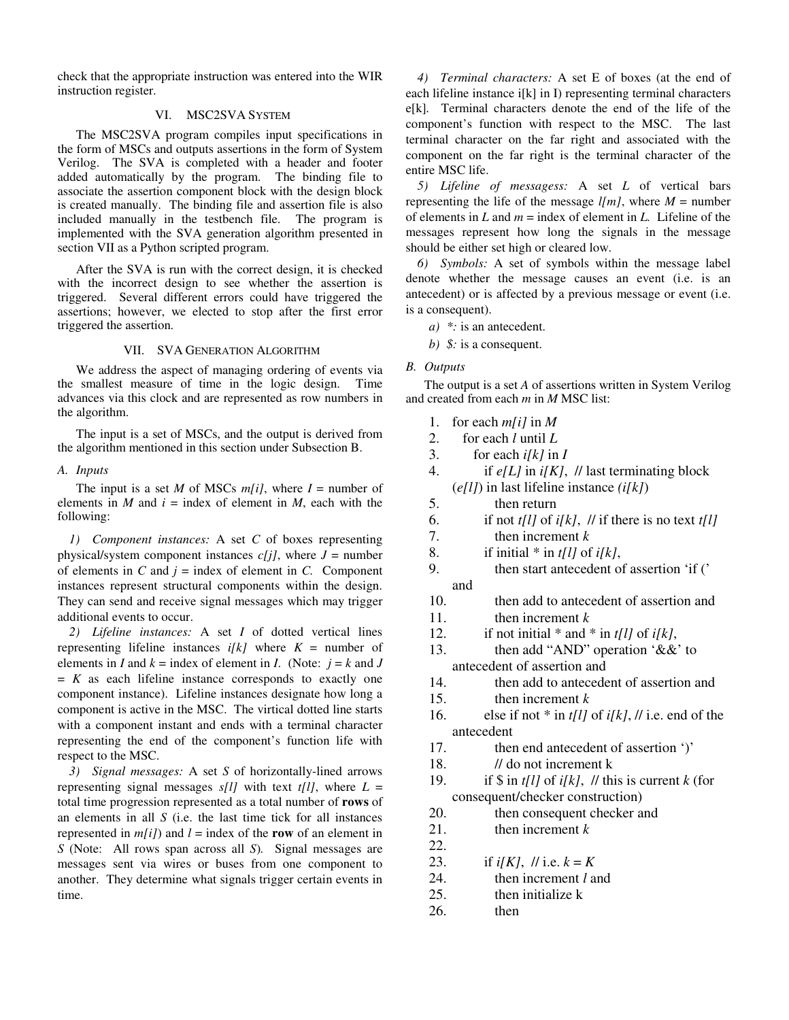check that the appropriate instruction was entered into the WIR instruction register.

# VI. MSC2SVA SYSTEM

The MSC2SVA program compiles input specifications in the form of MSCs and outputs assertions in the form of System Verilog. The SVA is completed with a header and footer added automatically by the program. The binding file to associate the assertion component block with the design block is created manually. The binding file and assertion file is also included manually in the testbench file. The program is implemented with the SVA generation algorithm presented in section VII as a Python scripted program.

After the SVA is run with the correct design, it is checked with the incorrect design to see whether the assertion is triggered. Several different errors could have triggered the assertions; however, we elected to stop after the first error triggered the assertion.

## VII. SVA GENERATION ALGORITHM

We address the aspect of managing ordering of events via the smallest measure of time in the logic design. Time advances via this clock and are represented as row numbers in the algorithm.

The input is a set of MSCs, and the output is derived from the algorithm mentioned in this section under Subsection B.

## *A. Inputs*

The input is a set *M* of MSCs  $m[i]$ , where  $I =$  number of elements in  $M$  and  $i =$  index of element in  $M$ , each with the following:

*1) Component instances:* A set *C* of boxes representing physical/system component instances  $c[j]$ , where  $J =$  number of elements in  $C$  and  $j =$  index of element in  $C$ . Component instances represent structural components within the design. They can send and receive signal messages which may trigger additional events to occur.

*2) Lifeline instances:* A set *I* of dotted vertical lines representing lifeline instances  $i[k]$  where  $K =$  number of elements in *I* and  $k =$  index of element in *I*. (Note:  $j = k$  and *J*  $= K$  as each lifeline instance corresponds to exactly one component instance). Lifeline instances designate how long a component is active in the MSC. The virtical dotted line starts with a component instant and ends with a terminal character representing the end of the component's function life with respect to the MSC.

*3) Signal messages:* A set *S* of horizontally-lined arrows representing signal messages  $s[l]$  with text  $t[l]$ , where  $L =$ total time progression represented as a total number of **rows** of an elements in all *S* (i.e. the last time tick for all instances represented in  $m[i]$  and  $l =$  index of the **row** of an element in *S* (Note: All rows span across all *S*)*.* Signal messages are messages sent via wires or buses from one component to another. They determine what signals trigger certain events in time.

*4) Terminal characters:* A set E of boxes (at the end of each lifeline instance i[k] in I) representing terminal characters e[k]*.* Terminal characters denote the end of the life of the component's function with respect to the MSC. The last terminal character on the far right and associated with the component on the far right is the terminal character of the entire MSC life.

*5) Lifeline of messagess:* A set *L* of vertical bars representing the life of the message  $l/m$ , where  $M =$  number of elements in  $L$  and  $m =$  index of element in  $L$ . Lifeline of the messages represent how long the signals in the message should be either set high or cleared low.

*6) Symbols:* A set of symbols within the message label denote whether the message causes an event (i.e. is an antecedent) or is affected by a previous message or event (i.e. is a consequent).

- *a) \*:* is an antecedent.
- *b) \$:* is a consequent.

## *B. Outputs*

The output is a set *A* of assertions written in System Verilog and created from each *m* in *M* MSC list:

- 1. for each *m[i]* in *M*
- 2. for each *l* until *L*
- 3. for each  $i[k]$  in  $I$
- 4. if *e[L]* in *i[K]*, // last terminating block (*e[l]*) in last lifeline instance *(i[k]*)
- 5. then return
- 6. if not  $t[l]$  of  $i[k]$ ,  $\#$  if there is no text  $t[l]$
- 7. then increment *k*
- 8. if initial \* in *t[l]* of *i[k]*,
- 9. then start antecedent of assertion 'if (' and
- 10. then add to antecedent of assertion and
- 11. then increment *k*
- 12. if not initial  $*$  and  $*$  in *t*[l] of *i*[k],
- 13. then add "AND" operation '&&' to antecedent of assertion and
- 14. then add to antecedent of assertion and
- 15. then increment *k*
- 16. else if not \* in *t[l]* of *i[k]*, // i.e. end of the antecedent
- 17. then end antecedent of assertion ')'
- 18. // do not increment k
- 19. if  $\sin t/l$  of *i*[k], // this is current *k* (for consequent/checker construction)
- 20. then consequent checker and
- 21. then increment *k*
- 22.
- 23. if  $i[K]$ ,  $//$  i.e.  $k = K$
- 24. then increment *l* and
- 25. then initialize k
- 26. then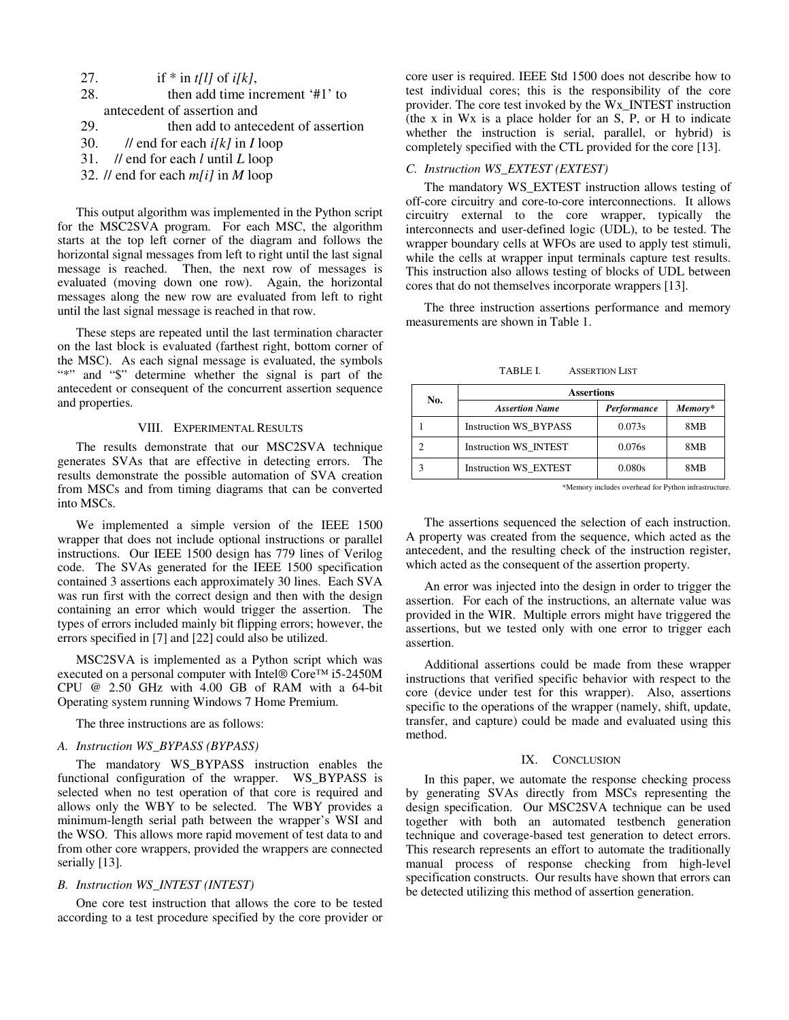| 27. | if * in t[l] of i[k],                  |
|-----|----------------------------------------|
| 28. | then add time increment '#1' to        |
|     | antecedent of assertion and            |
| 29. | then add to antecedent of assertion    |
| 30. | // end for each $i[k]$ in I loop       |
|     | 31. // end for each $l$ until $L$ loop |
|     | $22$ $11$ $10$ $11$ $11$ $11$          |

32. // end for each *m[i]* in *M* loop

This output algorithm was implemented in the Python script for the MSC2SVA program. For each MSC, the algorithm starts at the top left corner of the diagram and follows the horizontal signal messages from left to right until the last signal message is reached. Then, the next row of messages is evaluated (moving down one row). Again, the horizontal messages along the new row are evaluated from left to right until the last signal message is reached in that row.

These steps are repeated until the last termination character on the last block is evaluated (farthest right, bottom corner of the MSC). As each signal message is evaluated, the symbols "\*" and "\$" determine whether the signal is part of the antecedent or consequent of the concurrent assertion sequence and properties.

## VIII. EXPERIMENTAL RESULTS

The results demonstrate that our MSC2SVA technique generates SVAs that are effective in detecting errors. The results demonstrate the possible automation of SVA creation from MSCs and from timing diagrams that can be converted into MSCs.

We implemented a simple version of the IEEE 1500 wrapper that does not include optional instructions or parallel instructions. Our IEEE 1500 design has 779 lines of Verilog code. The SVAs generated for the IEEE 1500 specification contained 3 assertions each approximately 30 lines. Each SVA was run first with the correct design and then with the design containing an error which would trigger the assertion. The types of errors included mainly bit flipping errors; however, the errors specified in [7] and [22] could also be utilized.

MSC2SVA is implemented as a Python script which was executed on a personal computer with Intel® Core™ i5-2450M CPU @ 2.50 GHz with 4.00 GB of RAM with a 64-bit Operating system running Windows 7 Home Premium.

The three instructions are as follows:

#### *A. Instruction WS\_BYPASS (BYPASS)*

The mandatory WS\_BYPASS instruction enables the functional configuration of the wrapper. WS\_BYPASS is selected when no test operation of that core is required and allows only the WBY to be selected. The WBY provides a minimum-length serial path between the wrapper's WSI and the WSO. This allows more rapid movement of test data to and from other core wrappers, provided the wrappers are connected serially [13].

# *B. Instruction WS\_INTEST (INTEST)*

One core test instruction that allows the core to be tested according to a test procedure specified by the core provider or core user is required. IEEE Std 1500 does not describe how to test individual cores; this is the responsibility of the core provider. The core test invoked by the Wx\_INTEST instruction (the x in Wx is a place holder for an S, P, or H to indicate whether the instruction is serial, parallel, or hybrid) is completely specified with the CTL provided for the core [13].

#### *C. Instruction WS\_EXTEST (EXTEST)*

The mandatory WS\_EXTEST instruction allows testing of off-core circuitry and core-to-core interconnections. It allows circuitry external to the core wrapper, typically the interconnects and user-defined logic (UDL), to be tested. The wrapper boundary cells at WFOs are used to apply test stimuli, while the cells at wrapper input terminals capture test results. This instruction also allows testing of blocks of UDL between cores that do not themselves incorporate wrappers [13].

The three instruction assertions performance and memory measurements are shown in Table 1.

TABLE I. ASSERTION LIST

| No. | <b>Assertions</b>            |             |         |  |
|-----|------------------------------|-------------|---------|--|
|     | <b>Assertion Name</b>        | Performance | Memory* |  |
|     | <b>Instruction WS_BYPASS</b> | 0.073s      | 8MB     |  |
|     | Instruction WS_INTEST        | 0.076s      | 8MB     |  |
|     | <b>Instruction WS EXTEST</b> | 0.080s      | 8MB     |  |

\*Memory includes overhead for Python infrastructure.

The assertions sequenced the selection of each instruction. A property was created from the sequence, which acted as the antecedent, and the resulting check of the instruction register, which acted as the consequent of the assertion property.

An error was injected into the design in order to trigger the assertion. For each of the instructions, an alternate value was provided in the WIR. Multiple errors might have triggered the assertions, but we tested only with one error to trigger each assertion.

Additional assertions could be made from these wrapper instructions that verified specific behavior with respect to the core (device under test for this wrapper). Also, assertions specific to the operations of the wrapper (namely, shift, update, transfer, and capture) could be made and evaluated using this method.

#### IX. CONCLUSION

In this paper, we automate the response checking process by generating SVAs directly from MSCs representing the design specification. Our MSC2SVA technique can be used together with both an automated testbench generation technique and coverage-based test generation to detect errors. This research represents an effort to automate the traditionally manual process of response checking from high-level specification constructs. Our results have shown that errors can be detected utilizing this method of assertion generation.